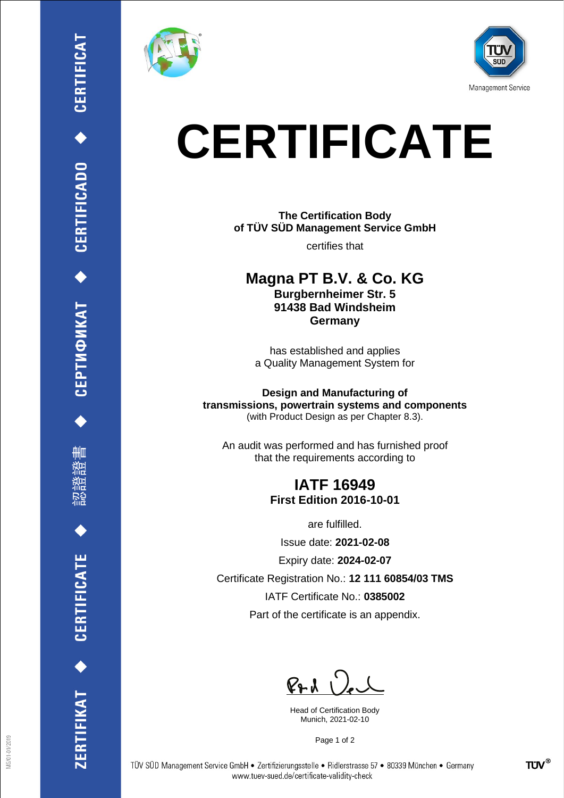

₩ш

CERTIFICATE

ERTIFIKAT<sup>+</sup>





# **CERTIFICATE**

**The Certification Body of TÜV SÜD Management Service GmbH**

certifies that

**Magna PT B.V. & Co. KG Burgbernheimer Str. 5 91438 Bad Windsheim Germany**

has established and applies a Quality Management System for

**Design and Manufacturing of transmissions, powertrain systems and components** (with Product Design as per Chapter 8.3).

An audit was performed and has furnished proof that the requirements according to

## **IATF 16949 First Edition 2016-10-01**

are fulfilled.

Issue date: **2021-02-08**

Expiry date: **2024-02-07**

Certificate Registration No.: **12 111 60854/03 TMS**

IATF Certificate No.: **0385002**

Part of the certificate is an appendix.

 $P+A$ 

Head of Certification Body Munich, 2021-02-10

Page 1 of 2